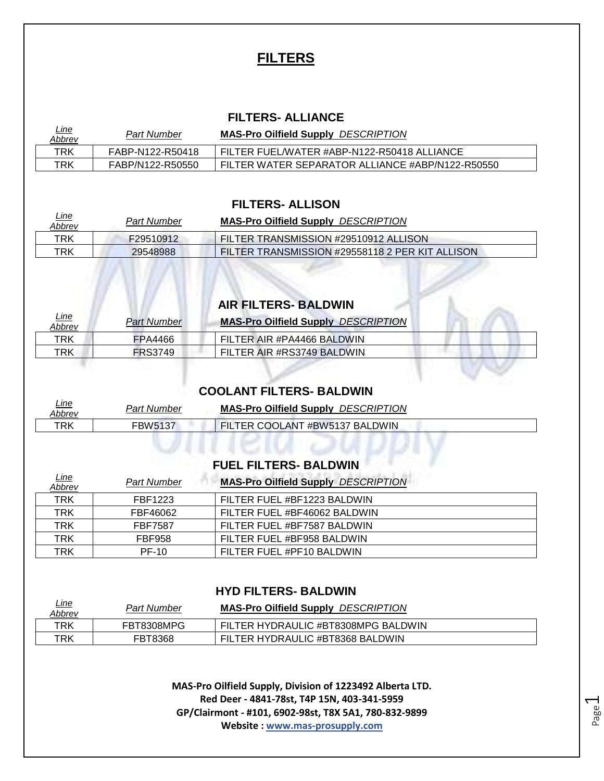# **FILTERS**

#### **FILTERS- ALLIANCE**

| <u>Line</u><br>Abbrev | Part Number      | <b>MAS-Pro Oilfield Supply DESCRIPTION</b>       |
|-----------------------|------------------|--------------------------------------------------|
| TRK                   | FABP-N122-R50418 | FILTER FUEL/WATER #ABP-N122-R50418 ALLIANCE      |
| TRK                   | FABP/N122-R50550 | FILTER WATER SEPARATOR ALLIANCE #ABP/N122-R50550 |

#### **FILTERS- ALLISON**

| <u>Line</u><br>Abbrev | <b>Part Number</b> | <b>MAS-Pro Oilfield Supply DESCRIPTION</b>      |
|-----------------------|--------------------|-------------------------------------------------|
| TRK                   | F29510912          | FILTER TRANSMISSION #29510912 ALLISON           |
| TRK                   | 29548988           | FILTER TRANSMISSION #29558118 2 PER KIT ALLISON |

## **AIR FILTERS- BALDWIN**

| <u>Line</u><br>Abbrev | Part Number    | <b>MAS-Pro Oilfield Supply DESCRIPTION</b> |
|-----------------------|----------------|--------------------------------------------|
| TRK                   | FPA4466        | FILTER AIR #PA4466 BALDWIN                 |
| TRK                   | <b>FRS3749</b> | FILTER AIR #RS3749 BALDWIN                 |
|                       |                |                                            |

#### **COOLANT FILTERS- BALDWIN**

| <u>Line</u><br><b>Abbrev</b> | <b>Part Number</b> | <b>MAS-Pro Oilfield Supply DESCRIPTION</b> |
|------------------------------|--------------------|--------------------------------------------|
| TRK                          | FBW5137            | FILTER COOLANT #BW5137 BALDWIN             |
|                              |                    |                                            |

VIII IEM JI

### **FUEL FILTERS- BALDWIN**

| <u>Line</u><br>Abbrev | <b>Part Number</b> | <b>MAS-Pro Oilfield Supply DESCRIPTION</b> |
|-----------------------|--------------------|--------------------------------------------|
| <b>TRK</b>            | FBF1223            | FILTER FUEL #BF1223 BALDWIN                |
| TRK                   | FBF46062           | FILTER FUEL #BF46062 BALDWIN               |
| <b>TRK</b>            | <b>FBF7587</b>     | FILTER FUEL #BF7587 BALDWIN                |
| <b>TRK</b>            | <b>FBF958</b>      | FILTER FUEL #BF958 BALDWIN                 |
| TRK                   | <b>PF-10</b>       | FILTER FUEL #PF10 BALDWIN                  |

#### **HYD FILTERS- BALDWIN**

| <u>Line</u><br>Abbrev | Part Number | <b>MAS-Pro Oilfield Supply DESCRIPTION</b> |
|-----------------------|-------------|--------------------------------------------|
| TRK                   | FBT8308MPG  | FILTER HYDRAULIC #BT8308MPG BALDWIN        |
| TRK                   | FBT8368     | FILTER HYDRAULIC #BT8368 BALDWIN           |

**MAS-Pro Oilfield Supply, Division of 1223492 Alberta LTD. Red Deer - 4841-78st, T4P 15N, 403-341-5959 GP/Clairmont - #101, 6902-98st, T8X 5A1, 780-832-9899 Website : www.mas-prosupply.com**

Page  $\overline{\phantom{0}}$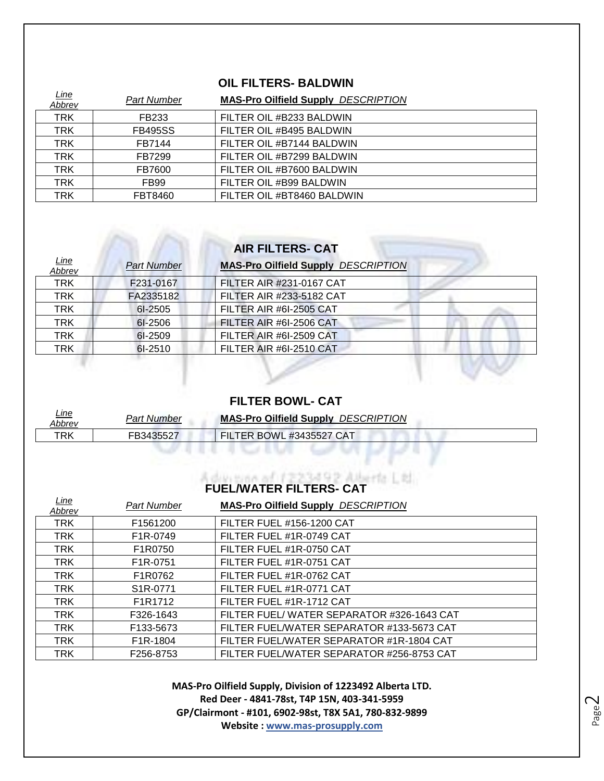#### **OIL FILTERS- BALDWIN**

| Line<br>Abbrev | <b>Part Number</b> | <b>MAS-Pro Oilfield Supply DESCRIPTION</b> |
|----------------|--------------------|--------------------------------------------|
| <b>TRK</b>     | FB233              | FILTER OIL #B233 BALDWIN                   |
| <b>TRK</b>     | <b>FB495SS</b>     | FILTER OIL #B495 BALDWIN                   |
| <b>TRK</b>     | FB7144             | FILTER OIL #B7144 BALDWIN                  |
| <b>TRK</b>     | FB7299             | FILTER OIL #B7299 BALDWIN                  |
| <b>TRK</b>     | FB7600             | FILTER OIL #B7600 BALDWIN                  |
| <b>TRK</b>     | FB99               | FILTER OIL #B99 BALDWIN                    |
| TRK            | FBT8460            | FILTER OIL #BT8460 BALDWIN                 |

| <b>AIR FILTERS- CAT</b> |                    |                                            |
|-------------------------|--------------------|--------------------------------------------|
| <u>Line</u><br>Abbrev   | <b>Part Number</b> | <b>MAS-Pro Oilfield Supply DESCRIPTION</b> |
| <b>TRK</b>              | F231-0167          | FILTER AIR #231-0167 CAT                   |
| <b>TRK</b>              | FA2335182          | FILTER AIR #233-5182 CAT                   |
| <b>TRK</b>              | 61-2505            | FILTER AIR #6I-2505 CAT                    |
| <b>TRK</b>              | 61-2506            | FILTER AIR #6I-2506 CAT                    |
| <b>TRK</b>              | 6I-2509            | FILTER AIR #6I-2509 CAT                    |
| <b>TRK</b>              | $6I-2510$          | FILTER AIR #6I-2510 CAT                    |

and a

#### **FILTER BOWL- CAT**

| <u>Line</u><br>Abbrev | Part Number | <b>MAS-Pro Oilfield Supply DESCRIPTION</b> |  |
|-----------------------|-------------|--------------------------------------------|--|
| TRK                   | FB3435527   | FILTER BOWL #3435527 CAT                   |  |
|                       |             |                                            |  |
|                       |             |                                            |  |

# **FUEL/WATER FILTERS- CAT**

| <u>Line</u><br>Abbrev | <b>Part Number</b>    | <b>MAS-Pro Oilfield Supply DESCRIPTION</b> |
|-----------------------|-----------------------|--------------------------------------------|
| <b>TRK</b>            | F1561200              | <b>FILTER FUEL #156-1200 CAT</b>           |
| <b>TRK</b>            | F <sub>1</sub> R-0749 | FILTER FUEL #1R-0749 CAT                   |
| <b>TRK</b>            | F1R0750               | FILTER FUEL #1R-0750 CAT                   |
| <b>TRK</b>            | F <sub>1</sub> R-0751 | FILTER FUEL #1R-0751 CAT                   |
| <b>TRK</b>            | F1R0762               | FILTER FUEL #1R-0762 CAT                   |
| <b>TRK</b>            | S <sub>1</sub> R-0771 | FILTER FUEL #1R-0771 CAT                   |
| <b>TRK</b>            | F1R1712               | FILTER FUEL #1R-1712 CAT                   |
| <b>TRK</b>            | F326-1643             | FILTER FUEL/WATER SEPARATOR #326-1643 CAT  |
| <b>TRK</b>            | F133-5673             | FILTER FUEL/WATER SEPARATOR #133-5673 CAT  |
| <b>TRK</b>            | F <sub>1</sub> R-1804 | FILTER FUEL/WATER SEPARATOR #1R-1804 CAT   |
| <b>TRK</b>            | F256-8753             | FILTER FUEL/WATER SEPARATOR #256-8753 CAT  |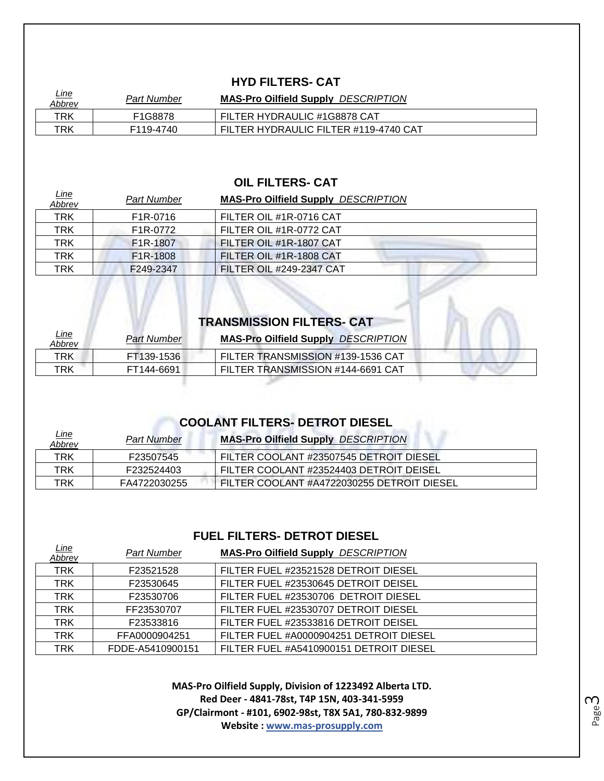#### **HYD FILTERS- CAT**

| <u>Line</u><br>Abbrev | Part Number | <b>MAS-Pro Oilfield Supply DESCRIPTION</b> |
|-----------------------|-------------|--------------------------------------------|
| TRK                   | F1G8878     | FILTER HYDRAULIC #1G8878 CAT               |
| TRK                   | F119-4740   | FILTER HYDRAULIC FILTER #119-4740 CAT      |

#### **OIL FILTERS- CAT**

| <u>Line</u><br><u>Abbrev</u> | <b>Part Number</b>    | <b>MAS-Pro Oilfield Supply DESCRIPTION</b> |
|------------------------------|-----------------------|--------------------------------------------|
| <b>TRK</b>                   | F <sub>1</sub> R-0716 | FILTER OIL #1R-0716 CAT                    |
| <b>TRK</b>                   | F <sub>1</sub> R-0772 | FILTER OIL #1R-0772 CAT                    |
| <b>TRK</b>                   | F <sub>1</sub> R-1807 | FILTER OIL #1R-1807 CAT                    |
| <b>TRK</b>                   | F <sub>1</sub> R-1808 | FILTER OIL #1R-1808 CAT                    |
| TRK                          | F249-2347             | <b>FILTER OIL #249-2347 CAT</b>            |

| <b>TRANSMISSION FILTERS- CAT</b> |                    |                                            |  |
|----------------------------------|--------------------|--------------------------------------------|--|
| <u>Line</u><br>Abbrev            | <b>Part Number</b> | <b>MAS-Pro Oilfield Supply DESCRIPTION</b> |  |
| TRK                              | FT139-1536         | FILTER TRANSMISSION #139-1536 CAT          |  |
| TRK                              | FT144-6691         | FILTER TRANSMISSION #144-6691 CAT          |  |
|                                  |                    |                                            |  |

 $\mathcal{L}$ 

# **COOLANT FILTERS- DETROT DIESEL**

| <u>Line</u><br>Abbrev | <b>Part Number</b> | <b>MAS-Pro Oilfield Supply DESCRIPTION</b> |
|-----------------------|--------------------|--------------------------------------------|
| TRK                   | F23507545          | FILTER COOLANT #23507545 DETROIT DIESEL    |
| TRK                   | F232524403         | FILTER COOLANT #23524403 DETROIT DEISEL    |
| TRK                   | FA4722030255       | FILTER COOLANT #A4722030255 DETROIT DIESEL |

#### **FUEL FILTERS- DETROT DIESEL**

| <u>Line</u><br>Abbrev | <b>Part Number</b> | <b>MAS-Pro Oilfield Supply DESCRIPTION</b> |
|-----------------------|--------------------|--------------------------------------------|
| <b>TRK</b>            | F23521528          | FILTER FUEL #23521528 DETROIT DIESEL       |
| <b>TRK</b>            | F23530645          | FILTER FUEL #23530645 DETROIT DEISEL       |
| <b>TRK</b>            | F23530706          | FILTER FUEL #23530706 DETROIT DIESEL       |
| <b>TRK</b>            | FF23530707         | FILTER FUEL #23530707 DETROIT DIESEL       |
| <b>TRK</b>            | F23533816          | FILTER FUEL #23533816 DETROIT DEISEL       |
| <b>TRK</b>            | FFA0000904251      | FILTER FUEL #A0000904251 DETROIT DIESEL    |
| <b>TRK</b>            | FDDE-A5410900151   | FILTER FUEL #A5410900151 DETROIT DIESEL    |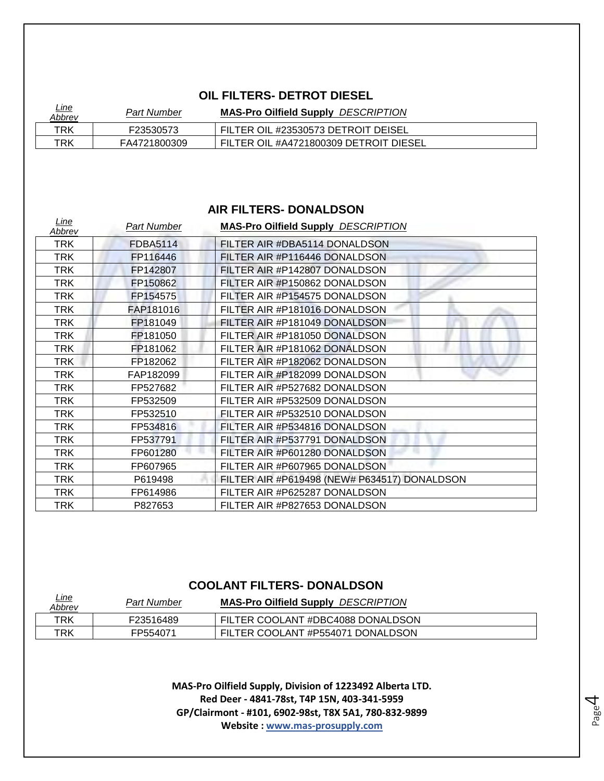#### **OIL FILTERS- DETROT DIESEL**

| <u>Line</u><br><u>Abbrev</u> | Part Number  | <b>MAS-Pro Oilfield Supply DESCRIPTION</b> |  |
|------------------------------|--------------|--------------------------------------------|--|
| TRK                          | F23530573    | FILTER OIL #23530573 DETROIT DEISEL        |  |
| TRK                          | FA4721800309 | FILTER OIL #A4721800309 DETROIT DIESEL     |  |

#### **AIR FILTERS- DONALDSON**

| Line<br>Abbrev | <b>Part Number</b> | <b>MAS-Pro Oilfield Supply DESCRIPTION</b>   |
|----------------|--------------------|----------------------------------------------|
| <b>TRK</b>     | <b>FDBA5114</b>    | FILTER AIR #DBA5114 DONALDSON                |
| <b>TRK</b>     | FP116446           | FILTER AIR #P116446 DONALDSON                |
| <b>TRK</b>     | FP142807           | FILTER AIR #P142807 DONALDSON                |
| <b>TRK</b>     | FP150862           | FILTER AIR #P150862 DONALDSON                |
| <b>TRK</b>     | FP154575           | FILTER AIR #P154575 DONALDSON                |
| TRK.           | FAP181016          | FILTER AIR #P181016 DONALDSON                |
| <b>TRK</b>     | FP181049           | FILTER AIR #P181049 DONALDSON                |
| <b>TRK</b>     | FP181050           | FILTER AIR #P181050 DONALDSON                |
| TRK            | FP181062           | FILTER AIR #P181062 DONALDSON                |
| <b>TRK</b>     | FP182062           | FILTER AIR #P182062 DONALDSON                |
| <b>TRK</b>     | FAP182099          | FILTER AIR #P182099 DONALDSON                |
| TRK            | FP527682           | FILTER AIR #P527682 DONALDSON                |
| <b>TRK</b>     | FP532509           | FILTER AIR #P532509 DONALDSON                |
| <b>TRK</b>     | FP532510           | FILTER AIR #P532510 DONALDSON                |
| <b>TRK</b>     | FP534816           | FILTER AIR #P534816 DONALDSON                |
| <b>TRK</b>     | FP537791           | FILTER AIR #P537791 DONALDSON                |
| <b>TRK</b>     | FP601280           | FILTER AIR #P601280 DONALDSON                |
| <b>TRK</b>     | FP607965           | FILTER AIR #P607965 DONALDSON                |
| TRK            | P619498            | FILTER AIR #P619498 (NEW# P634517) DONALDSON |
| <b>TRK</b>     | FP614986           | FILTER AIR #P625287 DONALDSON                |
| <b>TRK</b>     | P827653            | FILTER AIR #P827653 DONALDSON                |

#### **COOLANT FILTERS- DONALDSON**

| <u>Line</u><br>Abbrev | Part Number | <b>MAS-Pro Oilfield Supply DESCRIPTION</b> |
|-----------------------|-------------|--------------------------------------------|
| TRK                   | F23516489   | FILTER COOLANT #DBC4088 DONALDSON          |
| TRK                   | FP554071    | FILTER COOLANT #P554071 DONALDSON          |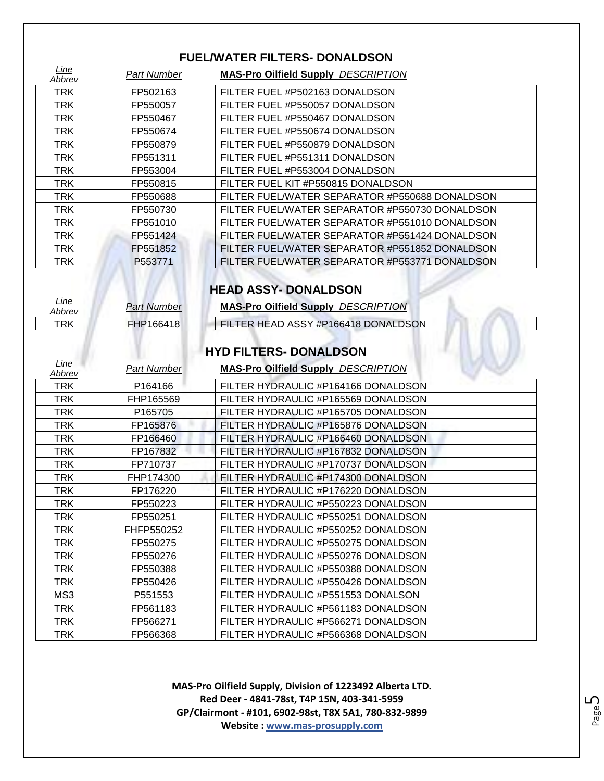#### **FUEL/WATER FILTERS- DONALDSON**

| Line<br>Abbrev | <b>Part Number</b> | <b>MAS-Pro Oilfield Supply DESCRIPTION</b>     |
|----------------|--------------------|------------------------------------------------|
| <b>TRK</b>     | FP502163           | FILTER FUEL #P502163 DONALDSON                 |
| <b>TRK</b>     | FP550057           | FILTER FUEL #P550057 DONALDSON                 |
| <b>TRK</b>     | FP550467           | FILTER FUEL #P550467 DONALDSON                 |
| <b>TRK</b>     | FP550674           | FILTER FUEL #P550674 DONALDSON                 |
| <b>TRK</b>     | FP550879           | FILTER FUEL #P550879 DONALDSON                 |
| <b>TRK</b>     | FP551311           | FILTER FUEL #P551311 DONALDSON                 |
| <b>TRK</b>     | FP553004           | FILTER FUEL #P553004 DONALDSON                 |
| <b>TRK</b>     | FP550815           | FILTER FUEL KIT #P550815 DONALDSON             |
| <b>TRK</b>     | FP550688           | FILTER FUEL/WATER SEPARATOR #P550688 DONALDSON |
| <b>TRK</b>     | FP550730           | FILTER FUEL/WATER SEPARATOR #P550730 DONALDSON |
| <b>TRK</b>     | FP551010           | FILTER FUEL/WATER SEPARATOR #P551010 DONALDSON |
| <b>TRK</b>     | FP551424           | FILTER FUEL/WATER SEPARATOR #P551424 DONALDSON |
| TRK            | FP551852           | FILTER FUEL/WATER SEPARATOR #P551852 DONALDSON |
| <b>TRK</b>     | P553771            | FILTER FUEL/WATER SEPARATOR #P553771 DONALDSON |

# **HEAD ASSY- DONALDSON**

| <u>Line</u><br>Abbrev | Part Number | <b>MAS-Pro Oilfield Supply DESCRIPTION</b> |  |
|-----------------------|-------------|--------------------------------------------|--|
| TRK                   | FHP166418   | FILTER HEAD ASSY #P166418 DONALDSON        |  |

#### **HYD FILTERS- DONALDSON**

ala 14

| Line<br>Abbrev | <b>Part Number</b> | <b>MAS-Pro Oilfield Supply DESCRIPTION</b> |
|----------------|--------------------|--------------------------------------------|
| TRK            | P164166            | FILTER HYDRAULIC #P164166 DONALDSON        |
| <b>TRK</b>     | FHP165569          | FILTER HYDRAULIC #P165569 DONALDSON        |
| <b>TRK</b>     | P165705            | FILTER HYDRAULIC #P165705 DONALDSON        |
| TRK            | FP165876           | FILTER HYDRAULIC #P165876 DONALDSON        |
| TRK            | FP166460           | FILTER HYDRAULIC #P166460 DONALDSON        |
| TRK            | FP167832           | FILTER HYDRAULIC #P167832 DONALDSON        |
| <b>TRK</b>     | FP710737           | FILTER HYDRAULIC #P170737 DONALDSON        |
| TRK            | FHP174300          | FILTER HYDRAULIC #P174300 DONALDSON        |
| TRK            | FP176220           | FILTER HYDRAULIC #P176220 DONALDSON        |
| <b>TRK</b>     | FP550223           | FILTER HYDRAULIC #P550223 DONALDSON        |
| TRK            | FP550251           | FILTER HYDRAULIC #P550251 DONALDSON        |
| TRK            | FHFP550252         | FILTER HYDRAULIC #P550252 DONALDSON        |
| TRK            | FP550275           | FILTER HYDRAULIC #P550275 DONALDSON        |
| TRK            | FP550276           | FILTER HYDRAULIC #P550276 DONALDSON        |
| TRK            | FP550388           | FILTER HYDRAULIC #P550388 DONALDSON        |
| <b>TRK</b>     | FP550426           | FILTER HYDRAULIC #P550426 DONALDSON        |
| MS3            | P551553            | FILTER HYDRAULIC #P551553 DONALSON         |
| <b>TRK</b>     | FP561183           | FILTER HYDRAULIC #P561183 DONALDSON        |
| TRK            | FP566271           | FILTER HYDRAULIC #P566271 DONALDSON        |
| TRK            | FP566368           | FILTER HYDRAULIC #P566368 DONALDSON        |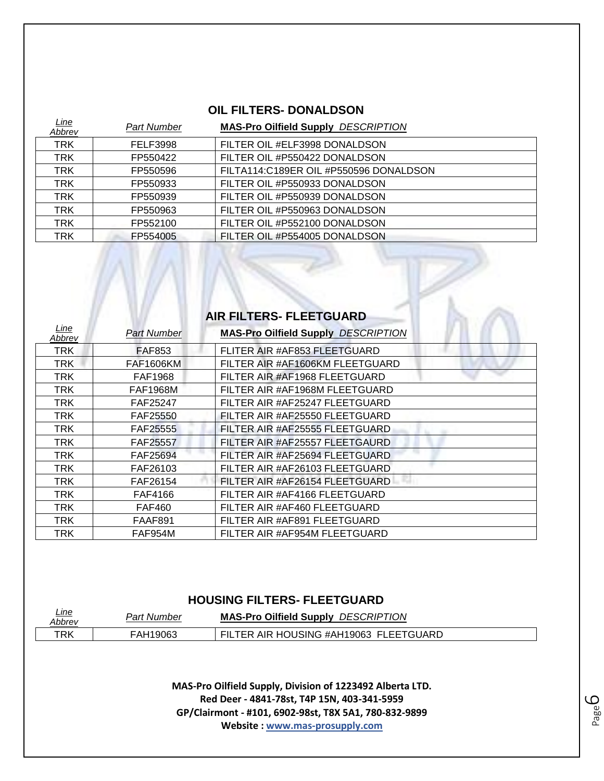### **OIL FILTERS- DONALDSON**

| <u>Line</u><br>Abbrev | Part Number | <b>MAS-Pro Oilfield Supply DESCRIPTION</b> |
|-----------------------|-------------|--------------------------------------------|
| <b>TRK</b>            | FELF3998    | FILTER OIL #ELF3998 DONALDSON              |
| <b>TRK</b>            | FP550422    | FILTER OIL #P550422 DONALDSON              |
| <b>TRK</b>            | FP550596    | FILTA114:C189ER OIL #P550596 DONALDSON     |
| TRK                   | FP550933    | FILTER OIL #P550933 DONALDSON              |
| <b>TRK</b>            | FP550939    | FILTER OIL #P550939 DONALDSON              |
| <b>TRK</b>            | FP550963    | FILTER OIL #P550963 DONALDSON              |
| <b>TRK</b>            | FP552100    | FILTER OIL #P552100 DONALDSON              |
| TRK                   | FP554005    | FILTER OIL #P554005 DONALDSON              |

 $\mathbb{N}$ 

| AIR FILTERS- FLEETGUARD |                    |                                            |
|-------------------------|--------------------|--------------------------------------------|
| Line<br>Abbrev          | <b>Part Number</b> | <b>MAS-Pro Oilfield Supply DESCRIPTION</b> |
| <b>TRK</b>              | <b>FAF853</b>      | FLITER AIR #AF853 FLEETGUARD               |
| <b>TRK</b>              | <b>FAF1606KM</b>   | FILTER AIR #AF1606KM FLEETGUARD            |
| TRK                     | <b>FAF1968</b>     | FILTER AIR #AF1968 FLEETGUARD              |
| <b>TRK</b>              | <b>FAF1968M</b>    | FILTER AIR #AF1968M FLEETGUARD             |
| <b>TRK</b>              | FAF25247           | FILTER AIR #AF25247 FLEETGUARD             |
| <b>TRK</b>              | FAF25550           | FILTER AIR #AF25550 FLEETGUARD             |
| TRK                     | <b>FAF25555</b>    | FILTER AIR #AF25555 FLEETGUARD             |
| TRK                     | FAF25557           | FILTER AIR #AF25557 FLEETGAURD             |
| <b>TRK</b>              | FAF25694           | FILTER AIR #AF25694 FLEETGUARD             |
| TRK                     | FAF26103           | FILTER AIR #AF26103 FLEETGUARD             |
| <b>TRK</b>              | FAF26154           | FILTER AIR #AF26154 FLEETGUARD             |
| TRK                     | FAF4166            | FILTER AIR #AF4166 FLEETGUARD              |
| TRK                     | <b>FAF460</b>      | FILTER AIR #AF460 FLEETGUARD               |
| TRK                     | FAAF891            | FILTER AIR #AF891 FLEETGUARD               |
| <b>TRK</b>              | FAF954M            | FILTER AIR #AF954M FLEETGUARD              |

#### **HOUSING FILTERS- FLEETGUARD**

| <u>Line</u><br><b>Abbrev</b> | Part Number | <b>MAS-Pro Oilfield Supply DESCRIPTION</b> |
|------------------------------|-------------|--------------------------------------------|
| TRK                          | FAH19063    | FILTER AIR HOUSING #AH19063 FLEETGUARD     |

**MAS-Pro Oilfield Supply, Division of 1223492 Alberta LTD. Red Deer - 4841-78st, T4P 15N, 403-341-5959 GP/Clairmont - #101, 6902-98st, T8X 5A1, 780-832-9899 Website : www.mas-prosupply.com**

Page ص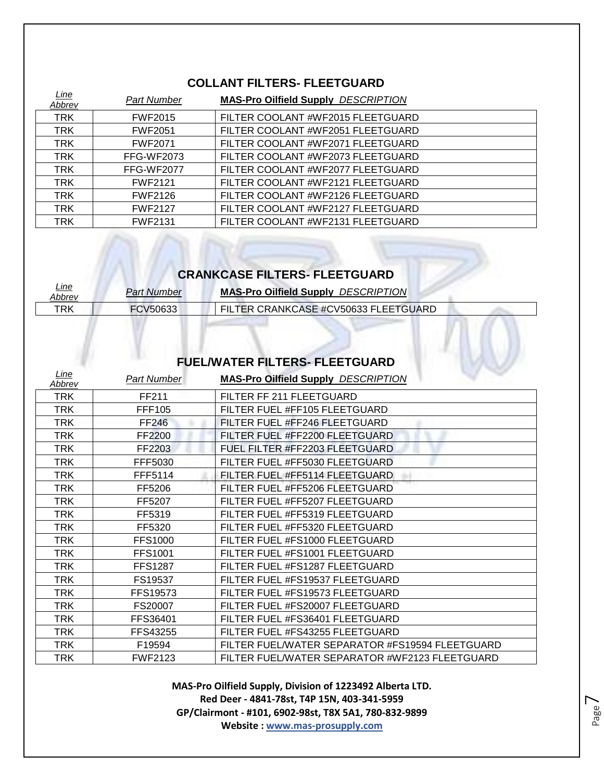## **COLLANT FILTERS- FLEETGUARD**

| <u>Line</u><br>Abbrev | <b>Part Number</b> | <b>MAS-Pro Oilfield Supply DESCRIPTION</b> |
|-----------------------|--------------------|--------------------------------------------|
| <b>TRK</b>            | <b>FWF2015</b>     | FILTER COOLANT #WF2015 FLEETGUARD          |
| <b>TRK</b>            | <b>FWF2051</b>     | FILTER COOLANT #WF2051 FLEETGUARD          |
| <b>TRK</b>            | <b>FWF2071</b>     | FILTER COOLANT #WF2071 FLEETGUARD          |
| <b>TRK</b>            | <b>FFG-WF2073</b>  | FILTER COOLANT #WF2073 FLEETGUARD          |
| <b>TRK</b>            | FFG-WF2077         | FILTER COOLANT #WF2077 FLEETGUARD          |
| <b>TRK</b>            | <b>FWF2121</b>     | FILTER COOLANT #WF2121 FLEETGUARD          |
| <b>TRK</b>            | <b>FWF2126</b>     | FILTER COOLANT #WF2126 FLEETGUARD          |
| <b>TRK</b>            | <b>FWF2127</b>     | FILTER COOLANT #WF2127 FLEETGUARD          |
| <b>TRK</b>            | <b>FWF2131</b>     | FILTER COOLANT #WF2131 FLEETGUARD          |

# **CRANKCASE FILTERS- FLEETGUARD**

| <u>Line</u><br>Abbrev | <b>Part Number</b> | <b>MAS-Pro Oilfield Supply DESCRIPTION</b> |
|-----------------------|--------------------|--------------------------------------------|
| TRK                   | FCV50633           | FILTER CRANKCASE #CV50633 FLEETGUARD       |

### **FUEL/WATER FILTERS- FLEETGUARD**

| Line<br>Abbrev | <b>Part Number</b> | <b>MAS-Pro Oilfield Supply DESCRIPTION</b>      |
|----------------|--------------------|-------------------------------------------------|
| TRK            | FF211              | FILTER FF 211 FLEETGUARD                        |
| TRK            | <b>FFF105</b>      | FILTER FUEL #FF105 FLEETGUARD                   |
| TRK            | <b>FF246</b>       | FILTER FUEL #FF246 FLEETGUARD                   |
| TRK            | FF2200             | FILTER FUEL #FF2200 FLEETGUARD                  |
| <b>TRK</b>     | FF2203             | FUEL FILTER #FF2203 FLEETGUARD                  |
| TRK            | FFF5030            | FILTER FUEL #FF5030 FLEETGUARD                  |
| TRK            | FFF5114            | FILTER FUEL #FF5114 FLEETGUARD                  |
| TRK            | FF5206             | FILTER FUEL #FF5206 FLEETGUARD                  |
| <b>TRK</b>     | FF5207             | FILTER FUEL #FF5207 FLEETGUARD                  |
| <b>TRK</b>     | FF5319             | FILTER FUEL #FF5319 FLEETGUARD                  |
| TRK            | FF5320             | FILTER FUEL #FF5320 FLEETGUARD                  |
| TRK            | <b>FFS1000</b>     | FILTER FUEL #FS1000 FLEETGUARD                  |
| TRK            | <b>FFS1001</b>     | FILTER FUEL #FS1001 FLEETGUARD                  |
| TRK            | <b>FFS1287</b>     | FILTER FUEL #FS1287 FLEETGUARD                  |
| TRK            | FS19537            | FILTER FUEL #FS19537 FLEETGUARD                 |
| TRK            | FFS19573           | FILTER FUEL #FS19573 FLEETGUARD                 |
| TRK            | FS20007            | FILTER FUEL #FS20007 FLEETGUARD                 |
| TRK            | FFS36401           | FILTER FUEL #FS36401 FLEETGUARD                 |
| TRK            | FFS43255           | FILTER FUEL #FS43255 FLEETGUARD                 |
| TRK            | F19594             | FILTER FUEL/WATER SEPARATOR #FS19594 FLEETGUARD |
| TRK            | <b>FWF2123</b>     | FILTER FUEL/WATER SEPARATOR #WF2123 FLEETGUARD  |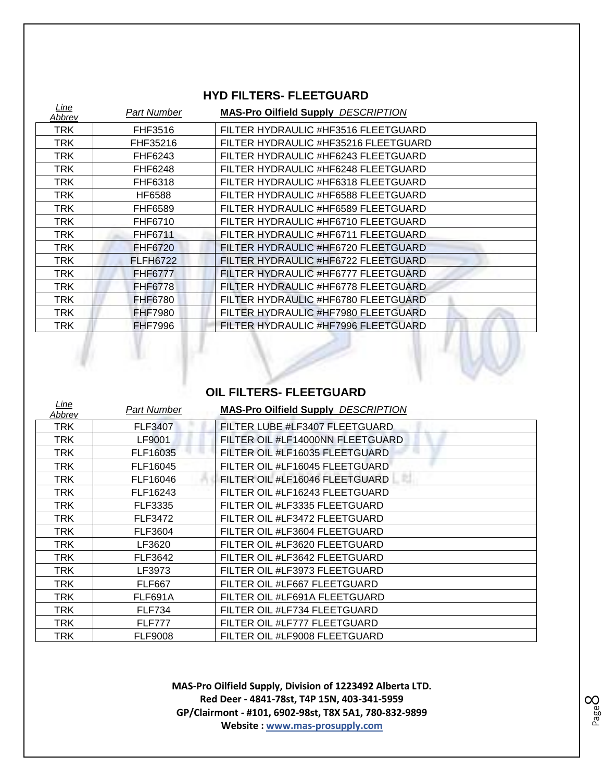#### **HYD FILTERS- FLEETGUARD**

| Line<br>Abbrev | <b>Part Number</b> | <b>MAS-Pro Oilfield Supply DESCRIPTION</b> |
|----------------|--------------------|--------------------------------------------|
| <b>TRK</b>     | FHF3516            | FILTER HYDRAULIC #HF3516 FLEETGUARD        |
| TRK            | FHF35216           | FILTER HYDRAULIC #HF35216 FLEETGUARD       |
| TRK            | FHF6243            | FILTER HYDRAULIC #HF6243 FLEETGUARD        |
| <b>TRK</b>     | FHF6248            | FILTER HYDRAULIC #HF6248 FLEETGUARD        |
| TRK            | FHF6318            | FILTER HYDRAULIC #HF6318 FLEETGUARD        |
| <b>TRK</b>     | <b>HF6588</b>      | FILTER HYDRAULIC #HF6588 FLEETGUARD        |
| TRK            | FHF6589            | FILTER HYDRAULIC #HF6589 FLEETGUARD        |
| TRK            | FHF6710            | FILTER HYDRAULIC #HF6710 FLEETGUARD        |
| <b>TRK</b>     | FHF6711            | FILTER HYDRAULIC #HF6711 FLEETGUARD        |
| TRK            | <b>FHF6720</b>     | FILTER HYDRAULIC #HF6720 FLEETGUARD        |
| TRK            | <b>FLFH6722</b>    | FILTER HYDRAULIC #HF6722 FLEETGUARD        |
| TRK            | <b>FHF6777</b>     | FILTER HYDRAULIC #HF6777 FLEETGUARD        |
| TRK            | <b>FHF6778</b>     | FILTER HYDRAULIC #HF6778 FLEETGUARD        |
| <b>TRK</b>     | <b>FHF6780</b>     | FILTER HYDRAULIC #HF6780 FLEETGUARD        |
| <b>TRK</b>     | <b>FHF7980</b>     | FILTER HYDRAULIC #HF7980 FLEETGUARD        |
| <b>TRK</b>     | <b>FHF7996</b>     | FILTER HYDRAULIC #HF7996 FLEETGUARD        |
|                |                    |                                            |

### **OIL FILTERS- FLEETGUARD**

| Line<br>Abbrev | Part Number    | <b>MAS-Pro Oilfield Supply DESCRIPTION</b> |
|----------------|----------------|--------------------------------------------|
| TRK            | <b>FLF3407</b> | FILTER LUBE #LF3407 FLEETGUARD             |
| TRK            | LF9001         | FILTER OIL #LF14000NN FLEETGUARD           |
| TRK            | FLF16035       | FILTER OIL #LF16035 FLEETGUARD             |
| TRK            | FLF16045       | FILTER OIL #LF16045 FLEETGUARD             |
| TRK            | FLF16046       | FILTER OIL #LF16046 FLEETGUARD             |
| <b>TRK</b>     | FLF16243       | FILTER OIL #LF16243 FLEETGUARD             |
| TRK            | FLF3335        | FILTER OIL #LF3335 FLEETGUARD              |
| TRK            | <b>FLF3472</b> | FILTER OIL #LF3472 FLEETGUARD              |
| TRK            | FLF3604        | FILTER OIL #LF3604 FLEETGUARD              |
| TRK            | LF3620         | FILTER OIL #LF3620 FLEETGUARD              |
| TRK            | FLF3642        | FILTER OIL #LF3642 FLEETGUARD              |
| TRK            | LF3973         | FILTER OIL #LF3973 FLEETGUARD              |
| TRK            | <b>FLF667</b>  | FILTER OIL #LF667 FLEETGUARD               |
| TRK            | FLF691A        | FILTER OIL #LF691A FLEETGUARD              |
| <b>TRK</b>     | <b>FLF734</b>  | FILTER OIL #LF734 FLEETGUARD               |
| TRK.           | <b>FLF777</b>  | FILTER OIL #LF777 FLEETGUARD               |
| TRK            | <b>FLF9008</b> | FILTER OIL #LF9008 FLEETGUARD              |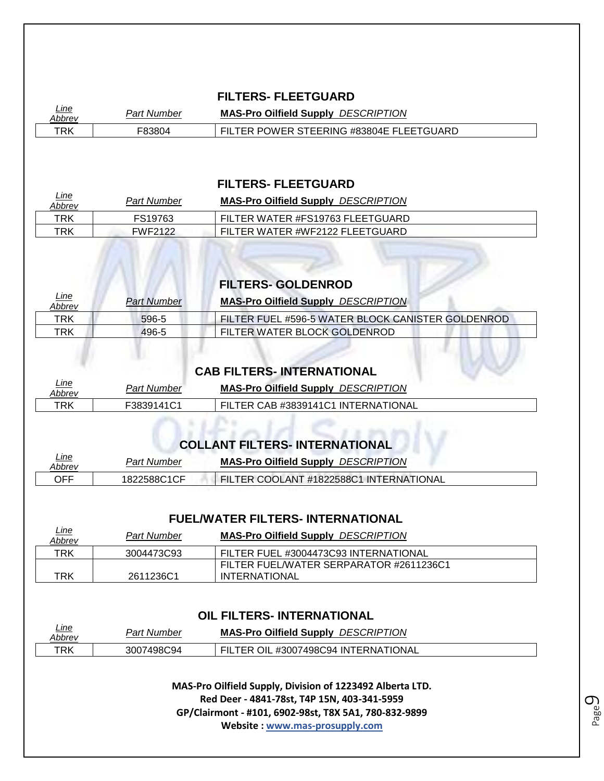#### **FILTERS- FLEETGUARD**

| <u>Line</u><br>Abbrev | Par<br>Number | <b>DESCRIPTION</b><br><b>MAS-Pro Oilfield</b><br><b>H</b> Supply |
|-----------------------|---------------|------------------------------------------------------------------|
| TRK                   | F8380∠        | TEERING #83804E FLEETGUARD<br><b>POWER</b><br>FR                 |

*Line* 

*Line* 

#### **FILTERS- FLEETGUARD**

| <u>Line</u><br>Abbrev | Part Number    | <b>MAS-Pro Oilfield Supply DESCRIPTION</b> |
|-----------------------|----------------|--------------------------------------------|
| TRK                   | FS19763        | FILTER WATER #FS19763 FLEETGUARD           |
| TRK                   | <b>FWF2122</b> | FILTER WATER #WF2122 FLEETGUARD            |

|                       |                    | <b>FILTERS- GOLDENROD</b>                         |
|-----------------------|--------------------|---------------------------------------------------|
| <u>Line</u><br>Abbrev | <b>Part Number</b> | <b>MAS-Pro Oilfield Supply DESCRIPTION</b>        |
| TRK                   | 596-5              | FILTER FUEL #596-5 WATER BLOCK CANISTER GOLDENROD |
| TRK                   | 496-5              | FILTER WATER BLOCK GOLDENROD                      |

|                       |             | <b>CAB FILTERS- INTERNATIONAL</b>          |
|-----------------------|-------------|--------------------------------------------|
| <u>Line</u><br>Abbrey | Part Number | <b>MAS-Pro Oilfield Supply DESCRIPTION</b> |
| TRK                   | F3839141C1  | FILTER CAB #3839141C1 INTERNATIONAL        |

# **COLLANT FILTERS- INTERNATIONAL**

| <u>Line</u><br>Abbrev | Part Number | <b>MAS-Pro Oilfield Supply DESCRIPTION</b> |
|-----------------------|-------------|--------------------------------------------|
| OFF                   | 1822588C1CF | FILTER COOLANT #1822588C1 INTERNATIONAL    |

#### **FUEL/WATER FILTERS- INTERNATIONAL**

| <u>Line</u><br>Abbrev | Part Number | <b>MAS-Pro Oilfield Supply DESCRIPTION</b> |
|-----------------------|-------------|--------------------------------------------|
| TRK                   | 3004473C93  | FILTER FUEL #3004473C93 INTERNATIONAL      |
|                       |             | FILTER FUEL/WATER SERPARATOR #2611236C1    |
| TRK                   | 2611236C1   | <b>INTERNATIONAL</b>                       |

#### **OIL FILTERS- INTERNATIONAL**

| <u>Line</u> | Part       | <b>DESCRIPTION</b>                          |
|-------------|------------|---------------------------------------------|
| Abbrev      | Number     | <b>MAS-Pro Oilfield Supply</b>              |
| TRK         | 3007498C94 | OIL #3007498C94 INTERNATIONAL<br><b>FR.</b> |

**MAS-Pro Oilfield Supply, Division of 1223492 Alberta LTD. Red Deer - 4841-78st, T4P 15N, 403-341-5959 GP/Clairmont - #101, 6902-98st, T8X 5A1, 780-832-9899 Website : www.mas-prosupply.com**

Page  $\mathcal O$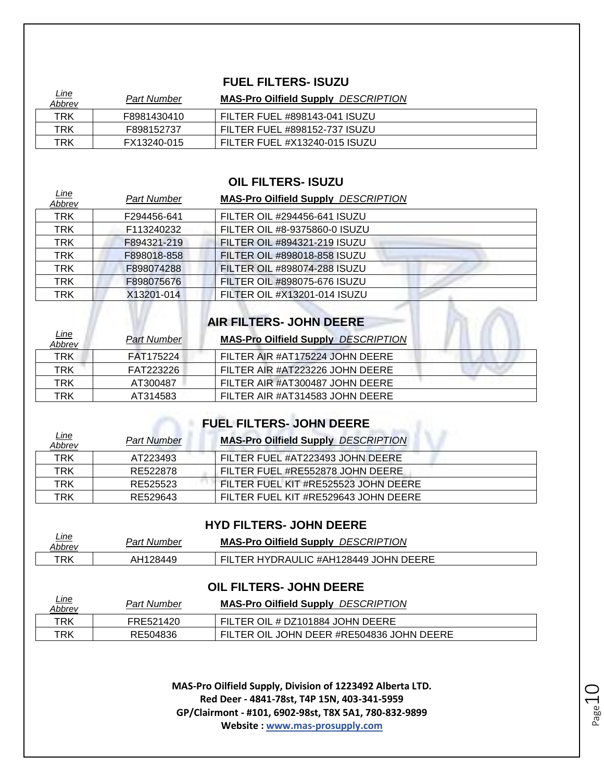#### **FUEL FILTERS- ISUZU**

| <u>Line</u><br>Abbrev | <b>Part Number</b> | <b>MAS-Pro Oilfield Supply DESCRIPTION</b> |
|-----------------------|--------------------|--------------------------------------------|
| TRK                   | F8981430410        | FILTER FUEL #898143-041 ISUZU              |
| TRK                   | F898152737         | FILTER FUEL #898152-737 ISUZU              |
| TRK                   | FX13240-015        | FILTER FUEL #X13240-015 ISUZU              |

#### **OIL FILTERS- ISUZU**

| <u>Line</u><br>Abbrev | <b>Part Number</b> | <b>MAS-Pro Oilfield Supply DESCRIPTION</b> |
|-----------------------|--------------------|--------------------------------------------|
| <b>TRK</b>            | F294456-641        | FILTER OIL #294456-641 ISUZU               |
| <b>TRK</b>            | F113240232         | FILTER OIL #8-9375860-0 ISUZU              |
| <b>TRK</b>            | F894321-219        | FILTER OIL #894321-219 ISUZU               |
| <b>TRK</b>            | F898018-858        | FILTER OIL #898018-858 ISUZU               |
| <b>TRK</b>            | F898074288         | FILTER OIL #898074-288 ISUZU               |
| <b>TRK</b>            | F898075676         | FILTER OIL #898075-676 ISUZU               |
| TRK                   | X13201-014         | FILTER OIL #X13201-014 ISUZU               |

| AIR FILTERS- JOHN DEERE |  |
|-------------------------|--|

| <u>Line</u><br>Abbrev | <b>Part Number</b> | <b>MAS-Pro Oilfield Supply DESCRIPTION</b> |
|-----------------------|--------------------|--------------------------------------------|
| <b>TRK</b>            | FAT175224          | FILTER AIR #AT175224 JOHN DEERE            |
| TRK                   | FAT223226          | FILTER AIR #AT223226 JOHN DEERE            |
| TRK                   | AT300487           | FILTER AIR #AT300487 JOHN DEERE            |
| TRK                   | AT314583           | FILTER AIR #AT314583 JOHN DEERE            |

# **FUEL FILTERS- JOHN DEERE**

| <u>Line</u><br>Abbrev | <b>Part Number</b> | <b>MAS-Pro Oilfield Supply DESCRIPTION</b> |
|-----------------------|--------------------|--------------------------------------------|
| TRK                   | AT223493           | FILTER FUEL #AT223493 JOHN DEERE           |
| <b>TRK</b>            | RE522878           | FILTER FUEL #RE552878 JOHN DEERE           |
| TRK                   | RE525523           | FILTER FUEL KIT #RE525523 JOHN DEERE       |
| TRK                   | RE529643           | FILTER FUEL KIT #RE529643 JOHN DEERE       |

#### **HYD FILTERS- JOHN DEERE**

| <u>Line</u><br>Abbrev | <b>Part Number</b> | <b>DESCRIPTION</b><br><b>MAS-Pro Oilfield Supply</b> |
|-----------------------|--------------------|------------------------------------------------------|
| TRK                   | AH128449           | TER HYDRAULIC #AH128449 JOHN DEERE                   |

#### **OIL FILTERS- JOHN DEERE**

| <u>Line</u><br>Abbrev | Part Number | <b>MAS-Pro Oilfield Supply DESCRIPTION</b> |
|-----------------------|-------------|--------------------------------------------|
| TRK                   | FRE521420   | FILTER OIL # DZ101884 JOHN DEERE           |
| TRK                   | RE504836    | FILTER OIL JOHN DEER #RE504836 JOHN DEERE  |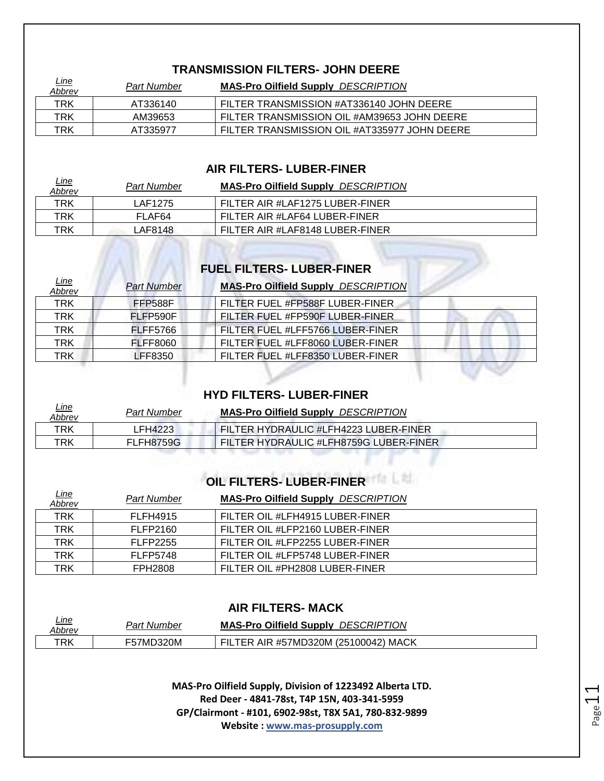#### **TRANSMISSION FILTERS- JOHN DEERE**

| <u>Line</u><br>Abbrev | <b>Part Number</b> | <b>MAS-Pro Oilfield Supply DESCRIPTION</b>   |
|-----------------------|--------------------|----------------------------------------------|
| TRK                   | AT336140           | FILTER TRANSMISSION #AT336140 JOHN DEERE     |
| TRK                   | AM39653            | FILTER TRANSMISSION OIL #AM39653 JOHN DEERE  |
| TRK                   | AT335977           | FILTER TRANSMISSION OIL #AT335977 JOHN DEERE |

#### **AIR FILTERS- LUBER-FINER**

| <u>Line</u><br>Abbrev | <b>Part Number</b> | <b>MAS-Pro Oilfield Supply DESCRIPTION</b> |
|-----------------------|--------------------|--------------------------------------------|
| TRK                   | LAF1275            | FILTER AIR #LAF1275 LUBER-FINER            |
| TRK                   | FLAF64             | FILTER AIR #LAF64 LUBER-FINER              |
| TRK                   | LAF8148.           | FILTER AIR #LAF8148 LUBER-FINER            |

# **FUEL FILTERS- LUBER-FINER**

| <u>Line</u><br><u>Abbrev</u> | <b>Part Number</b> | <b>MAS-Pro Oilfield Supply DESCRIPTION</b> |
|------------------------------|--------------------|--------------------------------------------|
| <b>TRK</b>                   | FFP588F            | FILTER FUEL #FP588F LUBER-FINER            |
| TRK                          | FLFP590F           | FILTER FUEL #FP590F LUBER-FINER            |
| TRK                          | <b>FLFF5766</b>    | FILTER FUEL #LFF5766 LUBER-FINER           |
| TRK                          | <b>FLFF8060</b>    | FILTER FUEL #LFF8060 LUBER-FINER           |
| TRK                          | LFF8350            | FILTER FUEL #LFF8350 LUBER-FINER           |

#### **HYD FILTERS- LUBER-FINER**

| <u>Line</u><br>Abbrev | <b>Part Number</b> | <b>MAS-Pro Oilfield Supply DESCRIPTION</b> |  |
|-----------------------|--------------------|--------------------------------------------|--|
| TRK                   | LFH4223            | FILTER HYDRAULIC #LFH4223 LUBER-FINER      |  |
| TRK                   | FLFH8759G          | FILTER HYDRAULIC #LFH8759G LUBER-FINER     |  |

# **OIL FILTERS- LUBER-FINER**

| <u>Line</u><br>Abbrev | Part Number     | <b>MAS-Pro Oilfield Supply DESCRIPTION</b> |
|-----------------------|-----------------|--------------------------------------------|
| <b>TRK</b>            | <b>FLFH4915</b> | FILTER OIL #LFH4915 LUBER-FINER            |
| TRK                   | FLFP2160        | FILTER OIL #LFP2160 LUBER-FINER            |
| <b>TRK</b>            | <b>FLFP2255</b> | FILTER OIL #LFP2255 LUBER-FINER            |
| TRK                   | <b>FLFP5748</b> | FILTER OIL #LFP5748 LUBER-FINER            |
| TRK                   | <b>FPH2808</b>  | FILTER OIL #PH2808 LUBER-FINER             |

#### **AIR FILTERS- MACK**

| <u>Line</u> | Part                 | <b>DESCRIPTION</b>                           |
|-------------|----------------------|----------------------------------------------|
| Abbrev      | . Number             | <b>MAS-Pro Oilfield Supply</b>               |
| TRK         | ን320M<br><b>57MD</b> | AIR #57MD320M (25100042) MACK<br>FIL<br>"FR. |

**MAS-Pro Oilfield Supply, Division of 1223492 Alberta LTD. Red Deer - 4841-78st, T4P 15N, 403-341-5959 GP/Clairmont - #101, 6902-98st, T8X 5A1, 780-832-9899 Website : www.mas-prosupply.com**

Page1.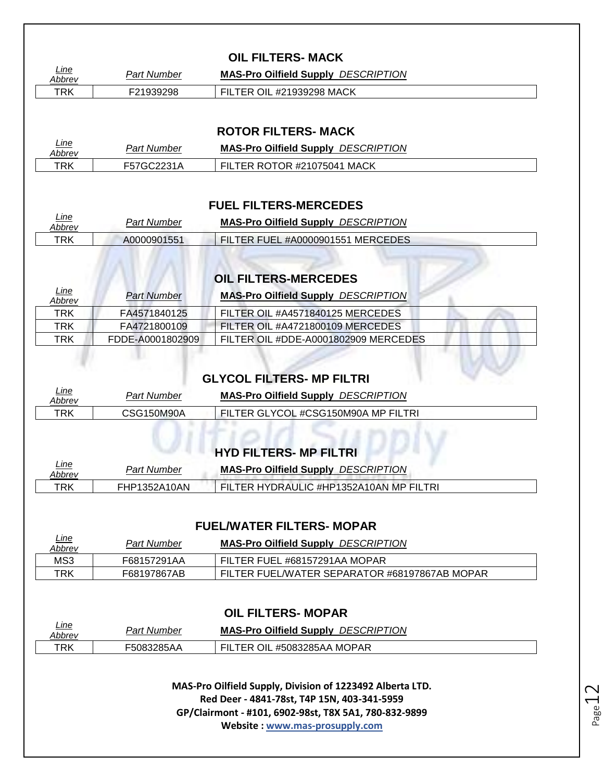| Line                        | <b>Part Number</b>               | <b>MAS-Pro Oilfield Supply DESCRIPTION</b>                                     |
|-----------------------------|----------------------------------|--------------------------------------------------------------------------------|
| <b>Abbrev</b><br><b>TRK</b> | F21939298                        | FILTER OIL #21939298 MACK                                                      |
|                             |                                  |                                                                                |
|                             |                                  | <b>ROTOR FILTERS- MACK</b>                                                     |
| Line                        | <b>Part Number</b>               | <b>MAS-Pro Oilfield Supply DESCRIPTION</b>                                     |
| Abbrev<br><b>TRK</b>        | F57GC2231A                       | FILTER ROTOR #21075041 MACK                                                    |
|                             |                                  |                                                                                |
|                             |                                  | <b>FUEL FILTERS-MERCEDES</b>                                                   |
| Line                        | <b>Part Number</b>               | <b>MAS-Pro Oilfield Supply DESCRIPTION</b>                                     |
| Abbrev<br><b>TRK</b>        | A0000901551                      | FILTER FUEL #A0000901551 MERCEDES                                              |
|                             |                                  |                                                                                |
|                             |                                  |                                                                                |
| Line                        |                                  | <b>OIL FILTERS-MERCEDES</b>                                                    |
| Abbrev<br><b>TRK</b>        | <b>Part Number</b>               | <b>MAS-Pro Oilfield Supply DESCRIPTION</b>                                     |
|                             | FA4571840125                     | FILTER OIL #A4571840125 MERCEDES                                               |
|                             |                                  |                                                                                |
| TRK<br><b>TRK</b>           | FA4721800109<br>FDDE-A0001802909 | FILTER OIL #A4721800109 MERCEDES<br>FILTER OIL #DDE-A0001802909 MERCEDES       |
| Line<br>Abbrev              | <b>Part Number</b>               | <b>GLYCOL FILTERS- MP FILTRI</b><br><b>MAS-Pro Oilfield Supply DESCRIPTION</b> |
| <b>TRK</b>                  | <b>CSG150M90A</b>                | FILTER GLYCOL #CSG150M90A MP FILTRI                                            |
|                             |                                  |                                                                                |
| Line                        |                                  | <b>HYD FILTERS- MP FILTRI</b>                                                  |
| Abbrev                      | <b>Part Number</b>               | <b>MAS-Pro Oilfield Supply DESCRIPTION</b>                                     |
| <b>TRK</b>                  | FHP1352A10AN                     | FILTER HYDRAULIC #HP1352A10AN MP FILTRI                                        |
|                             |                                  |                                                                                |
| Line                        |                                  | <b>FUEL/WATER FILTERS- MOPAR</b>                                               |
| Abbrev                      | <b>Part Number</b>               | <b>MAS-Pro Oilfield Supply DESCRIPTION</b>                                     |
| MS3<br><b>TRK</b>           | F68157291AA<br>F68197867AB       | FILTER FUEL #68157291AA MOPAR<br>FILTER FUEL/WATER SEPARATOR #68197867AB MOPAR |
|                             |                                  |                                                                                |
|                             |                                  | <b>OIL FILTERS- MOPAR</b>                                                      |
| Line<br>Abbrev              | <b>Part Number</b>               | <b>MAS-Pro Oilfield Supply DESCRIPTION</b>                                     |

Page 12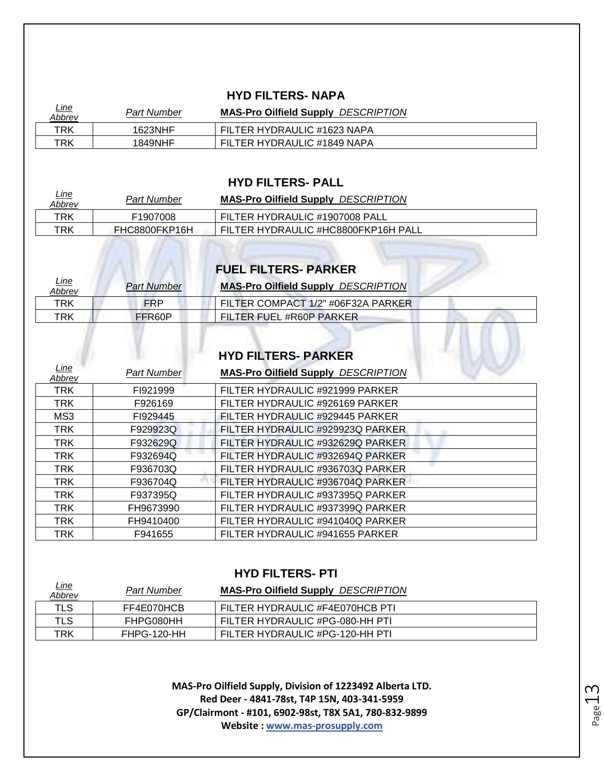#### **HYD FILTERS- NAPA**

| <u>Line</u><br>Abbrev | Part Number | <b>MAS-Pro Oilfield Supply DESCRIPTION</b> |
|-----------------------|-------------|--------------------------------------------|
| TRK                   | 1623NHF     | FILTER HYDRAULIC #1623 NAPA                |
| TRK                   | 1849NHF     | FILTER HYDRAULIC #1849 NAPA                |

#### **HYD FILTERS- PALL**

| <u>Line</u><br><b>Abbrev</b> | <b>Part Number</b> | <b>MAS-Pro Oilfield Supply DESCRIPTION</b> |
|------------------------------|--------------------|--------------------------------------------|
| TRK                          | F1907008           | FILTER HYDRAULIC #1907008 PALL             |
| TRK                          | FHC8800FKP16H      | FILTER HYDRAULIC #HC8800FKP16H PALL        |

# **FUEL FILTERS- PARKER**

| <u>Line</u><br>Abbrev | <b>Part Number</b> | <b>MAS-Pro Oilfield Supply DESCRIPTION</b> |
|-----------------------|--------------------|--------------------------------------------|
| TRK                   | <b>FRP</b>         | FILTER COMPACT 1/2" #06F32A PARKER         |
| TRK                   | FFR60P             | FILTER FUEL #R60P PARKER                   |
|                       |                    |                                            |
|                       |                    | <b>HYD FILTERS- PARKER</b>                 |

# **HYD FILTERS- PARKER**

| <u>Line</u><br>Abbrev | <b>Part Number</b> | <b>MAS-Pro Oilfield Supply DESCRIPTION</b> |  |
|-----------------------|--------------------|--------------------------------------------|--|
| <b>TRK</b>            | FI921999           | FILTER HYDRAULIC #921999 PARKER            |  |
| <b>TRK</b>            | F926169            | FILTER HYDRAULIC #926169 PARKER            |  |
| MS3                   | FI929445           | FILTER HYDRAULIC #929445 PARKER            |  |
| <b>TRK</b>            | F929923Q           | FILTER HYDRAULIC #929923Q PARKER           |  |
| <b>TRK</b>            | F932629Q           | FILTER HYDRAULIC #932629Q PARKER           |  |
| <b>TRK</b>            | F932694Q           | FILTER HYDRAULIC #932694Q PARKER           |  |
| <b>TRK</b>            | F936703Q           | FILTER HYDRAULIC #936703Q PARKER           |  |
| <b>TRK</b>            | F936704Q           | FILTER HYDRAULIC #936704Q PARKER           |  |
| <b>TRK</b>            | F937395Q           | FILTER HYDRAULIC #937395Q PARKER           |  |
| <b>TRK</b>            | FH9673990          | FILTER HYDRAULIC #937399Q PARKER           |  |
| <b>TRK</b>            | FH9410400          | FILTER HYDRAULIC #941040Q PARKER           |  |
| <b>TRK</b>            | F941655            | FILTER HYDRAULIC #941655 PARKER            |  |

#### **HYD FILTERS- PTI**

| <u>Line</u><br>Abbrev | Part Number | <b>MAS-Pro Oilfield Supply DESCRIPTION</b> |
|-----------------------|-------------|--------------------------------------------|
| <b>TLS</b>            | FF4E070HCB  | FILTER HYDRAULIC #F4E070HCB PTI            |
| TLS                   | FHPG080HH   | FILTER HYDRAULIC #PG-080-HH PTI            |
| TRK                   | FHPG-120-HH | FILTER HYDRAULIC #PG-120-HH PTI            |